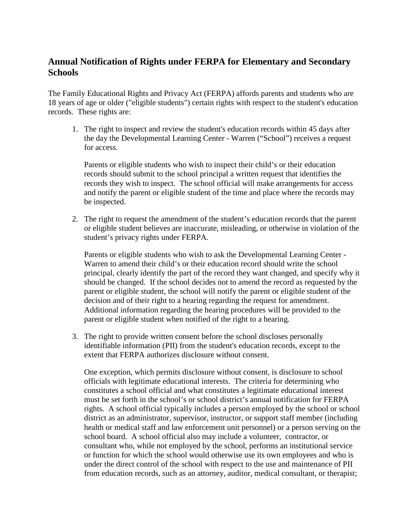## **Annual Notification of Rights under FERPA for Elementary and Secondary Schools**

The Family Educational Rights and Privacy Act (FERPA) affords parents and students who are 18 years of age or older ("eligible students") certain rights with respect to the student's education records. These rights are:

1. The right to inspect and review the student's education records within 45 days after the day the Developmental Learning Center - Warren ("School") receives a request for access.

Parents or eligible students who wish to inspect their child's or their education records should submit to the school principal a written request that identifies the records they wish to inspect. The school official will make arrangements for access and notify the parent or eligible student of the time and place where the records may be inspected.

2. The right to request the amendment of the student's education records that the parent or eligible student believes are inaccurate, misleading, or otherwise in violation of the student's privacy rights under FERPA.

Parents or eligible students who wish to ask the Developmental Learning Center - Warren to amend their child's or their education record should write the school principal, clearly identify the part of the record they want changed, and specify why it should be changed. If the school decides not to amend the record as requested by the parent or eligible student, the school will notify the parent or eligible student of the decision and of their right to a hearing regarding the request for amendment. Additional information regarding the hearing procedures will be provided to the parent or eligible student when notified of the right to a hearing.

3. The right to provide written consent before the school discloses personally identifiable information (PII) from the student's education records, except to the extent that FERPA authorizes disclosure without consent.

One exception, which permits disclosure without consent, is disclosure to school officials with legitimate educational interests. The criteria for determining who constitutes a school official and what constitutes a legitimate educational interest must be set forth in the school's or school district's annual notification for FERPA rights. A school official typically includes a person employed by the school or school district as an administrator, supervisor, instructor, or support staff member (including health or medical staff and law enforcement unit personnel) or a person serving on the school board. A school official also may include a volunteer, contractor, or consultant who, while not employed by the school, performs an institutional service or function for which the school would otherwise use its own employees and who is under the direct control of the school with respect to the use and maintenance of PII from education records, such as an attorney, auditor, medical consultant, or therapist;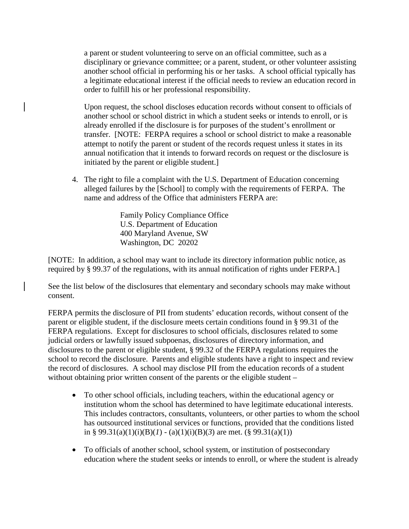a parent or student volunteering to serve on an official committee, such as a disciplinary or grievance committee; or a parent, student, or other volunteer assisting another school official in performing his or her tasks. A school official typically has a legitimate educational interest if the official needs to review an education record in order to fulfill his or her professional responsibility.

Upon request, the school discloses education records without consent to officials of another school or school district in which a student seeks or intends to enroll, or is already enrolled if the disclosure is for purposes of the student's enrollment or transfer. [NOTE: FERPA requires a school or school district to make a reasonable attempt to notify the parent or student of the records request unless it states in its annual notification that it intends to forward records on request or the disclosure is initiated by the parent or eligible student.]

4. The right to file a complaint with the U.S. Department of Education concerning alleged failures by the [School] to comply with the requirements of FERPA. The name and address of the Office that administers FERPA are:

> Family Policy Compliance Office U.S. Department of Education 400 Maryland Avenue, SW Washington, DC 20202

[NOTE: In addition, a school may want to include its directory information public notice, as required by § 99.37 of the regulations, with its annual notification of rights under FERPA.]

See the list below of the disclosures that elementary and secondary schools may make without consent.

FERPA permits the disclosure of PII from students' education records, without consent of the parent or eligible student, if the disclosure meets certain conditions found in § 99.31 of the FERPA regulations. Except for disclosures to school officials, disclosures related to some judicial orders or lawfully issued subpoenas, disclosures of directory information, and disclosures to the parent or eligible student, § 99.32 of the FERPA regulations requires the school to record the disclosure. Parents and eligible students have a right to inspect and review the record of disclosures. A school may disclose PII from the education records of a student without obtaining prior written consent of the parents or the eligible student –

- To other school officials, including teachers, within the educational agency or institution whom the school has determined to have legitimate educational interests. This includes contractors, consultants, volunteers, or other parties to whom the school has outsourced institutional services or functions, provided that the conditions listed in § 99.31(a)(1)(i)(B)(*l*) - (a)(1)(i)(B)(3) are met. (§ 99.31(a)(1))
- To officials of another school, school system, or institution of postsecondary education where the student seeks or intends to enroll, or where the student is already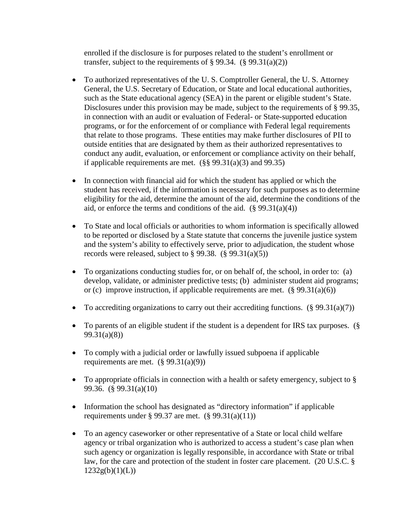enrolled if the disclosure is for purposes related to the student's enrollment or transfer, subject to the requirements of  $\S 99.34.$  ( $\S 99.31(a)(2)$ )

- To authorized representatives of the U.S. Comptroller General, the U.S. Attorney General, the U.S. Secretary of Education, or State and local educational authorities, such as the State educational agency (SEA) in the parent or eligible student's State. Disclosures under this provision may be made, subject to the requirements of § 99.35, in connection with an audit or evaluation of Federal- or State-supported education programs, or for the enforcement of or compliance with Federal legal requirements that relate to those programs. These entities may make further disclosures of PII to outside entities that are designated by them as their authorized representatives to conduct any audit, evaluation, or enforcement or compliance activity on their behalf, if applicable requirements are met.  $(\S$ § 99.31(a)(3) and 99.35)
- In connection with financial aid for which the student has applied or which the student has received, if the information is necessary for such purposes as to determine eligibility for the aid, determine the amount of the aid, determine the conditions of the aid, or enforce the terms and conditions of the aid.  $(\S 99.31(a)(4))$
- To State and local officials or authorities to whom information is specifically allowed to be reported or disclosed by a State statute that concerns the juvenile justice system and the system's ability to effectively serve, prior to adjudication, the student whose records were released, subject to  $\S 99.38$ . ( $\S 99.31(a)(5)$ )
- To organizations conducting studies for, or on behalf of, the school, in order to: (a) develop, validate, or administer predictive tests; (b) administer student aid programs; or (c) improve instruction, if applicable requirements are met.  $(\S 99.31(a)(6))$
- To accrediting organizations to carry out their accrediting functions.  $(\S 99.31(a)(7))$
- To parents of an eligible student if the student is a dependent for IRS tax purposes. (§ 99.31(a)(8))
- To comply with a judicial order or lawfully issued subpoena if applicable requirements are met.  $(\S$  99.31(a)(9))
- To appropriate officials in connection with a health or safety emergency, subject to § 99.36. (§ 99.31(a)(10)
- Information the school has designated as "directory information" if applicable requirements under § 99.37 are met.  $(\S$  99.31(a)(11))
- To an agency caseworker or other representative of a State or local child welfare agency or tribal organization who is authorized to access a student's case plan when such agency or organization is legally responsible, in accordance with State or tribal law, for the care and protection of the student in foster care placement. (20 U.S.C. §  $1232g(b)(1)(L))$